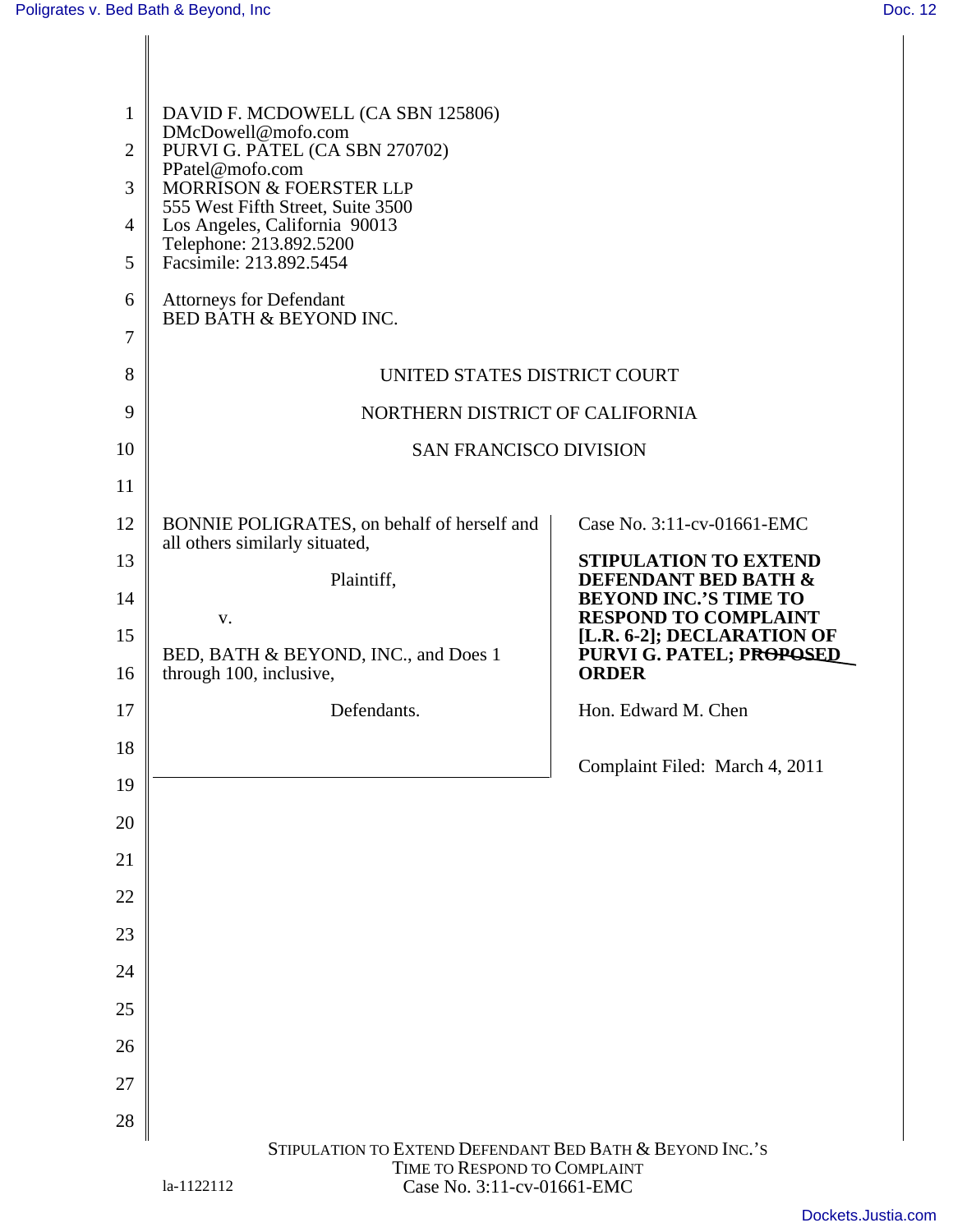|              | DAVID F. MCDOWELL (CA SBN 125806)<br>DMcDowell@mofo.com<br>2   PURVI G. PATEL (CA SBN 270702)<br>PPatel@mofo.com<br>3    MORRISON & FOERSTER LLP<br>555 West Fifth Street, Suite 3500<br>4   Los Angeles, California 90013<br>Telephone: 213.892.5200<br>5 Facsimile: 213.892.5454 |                                                                                                |
|--------------|------------------------------------------------------------------------------------------------------------------------------------------------------------------------------------------------------------------------------------------------------------------------------------|------------------------------------------------------------------------------------------------|
|              | 6   Attorneys for Defendant<br>BED BATH & BEYOND INC.                                                                                                                                                                                                                              |                                                                                                |
| 8            | UNITED STATES DISTRICT COURT                                                                                                                                                                                                                                                       |                                                                                                |
| $\mathbf{Q}$ | NORTHERN DISTRICT OF CALIFORNIA                                                                                                                                                                                                                                                    |                                                                                                |
| $10-1$       | SAN FRANCISCO DIVISION                                                                                                                                                                                                                                                             |                                                                                                |
| 11           |                                                                                                                                                                                                                                                                                    |                                                                                                |
| 13           | 12   BONNIE POLIGRATES, on behalf of herself and  <br>all others similarly situated,                                                                                                                                                                                               | Case No. 3:11-cv-01661-EMC<br>STIPULATION TO EXTEND                                            |
| 14           | Plaintiff,                                                                                                                                                                                                                                                                         | <b>DEFENDANT BED BATH &amp;</b><br><b>BEYOND INC.'S TIME TO</b><br><b>RESPOND TO COMPLAINT</b> |
| 15           | BED, BATH & BEYOND, INC., and Does 1<br>16   through 100, inclusive,                                                                                                                                                                                                               | [L.R. 6-2]; DECLARATION OF<br>PURVI G. PATEL; PROPOSED<br><b>ORDER</b>                         |
| 17           | Defendants.                                                                                                                                                                                                                                                                        | Hon. Edward M. Chen                                                                            |
| 18           |                                                                                                                                                                                                                                                                                    |                                                                                                |
| 19           |                                                                                                                                                                                                                                                                                    | Complaint Filed: March 4, 2011                                                                 |
| 20           |                                                                                                                                                                                                                                                                                    |                                                                                                |
| 21           |                                                                                                                                                                                                                                                                                    |                                                                                                |
| 22           |                                                                                                                                                                                                                                                                                    |                                                                                                |
| 23           |                                                                                                                                                                                                                                                                                    |                                                                                                |
| 24           |                                                                                                                                                                                                                                                                                    |                                                                                                |
| 25           |                                                                                                                                                                                                                                                                                    |                                                                                                |
| 26           |                                                                                                                                                                                                                                                                                    |                                                                                                |
| 27           |                                                                                                                                                                                                                                                                                    |                                                                                                |
| 28           |                                                                                                                                                                                                                                                                                    |                                                                                                |
|              | STIPULATION TO EXTEND DEFENDANT BED BATH & BEYOND INC.'S<br>TIME TO RESPOND TO COMPLAINT<br>Case No. 3:11-cv-01661-EMC<br>la-1122112                                                                                                                                               |                                                                                                |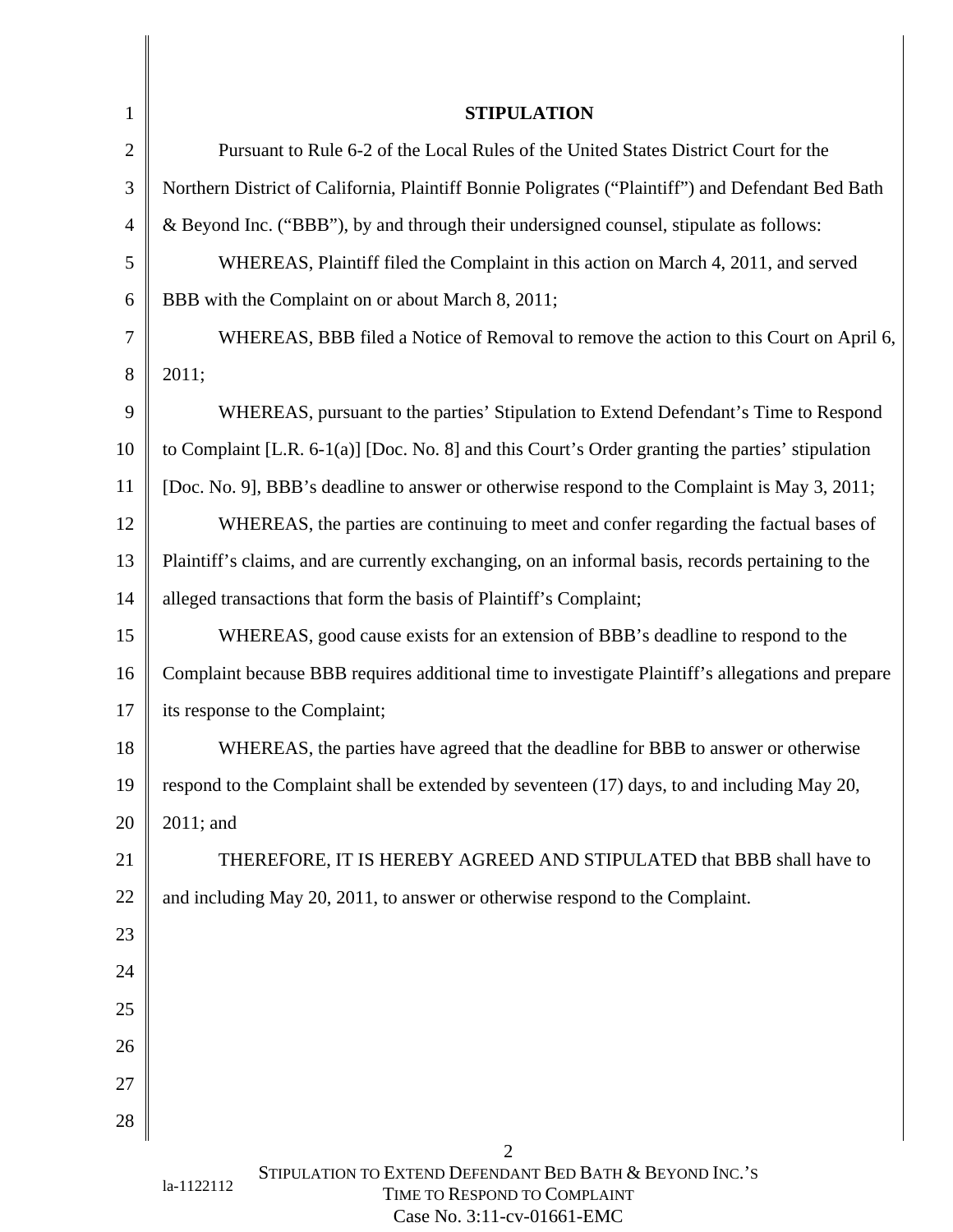|             | <b>STIPULATION</b>                                                                                     |
|-------------|--------------------------------------------------------------------------------------------------------|
|             | Pursuant to Rule 6-2 of the Local Rules of the United States District Court for the                    |
|             | Northern District of California, Plaintiff Bonnie Poligrates ("Plaintiff") and Defendant Bed Bath      |
|             | & Beyond Inc. ("BBB"), by and through their undersigned counsel, stipulate as follows:                 |
|             | WHEREAS, Plaintiff filed the Complaint in this action on March 4, 2011, and served                     |
|             | $\begin{bmatrix} \text{B} \\ \text{C} \end{bmatrix}$ BBB with the Complaint on or about March 8, 2011; |
|             | WHEREAS, BBB filed a Notice of Removal to remove the action to this Court on April 6,                  |
|             | $8 \mid 2011;$                                                                                         |
| $\mathbf Q$ | WHEREAS, pursuant to the parties' Stipulation to Extend Defendant's Time to Respond                    |
|             | 10 to Complaint [L.R. 6-1(a)] [Doc. No. 8] and this Court's Order granting the parties' stipulation    |
| 11          | [Doc. No. 9], BBB's deadline to answer or otherwise respond to the Complaint is May 3, 2011;           |
| 12          | WHEREAS, the parties are continuing to meet and confer regarding the factual bases of                  |
|             | 13   Plaintiff's claims, and are currently exchanging, on an informal basis, records pertaining to the |
|             | 14   alleged transactions that form the basis of Plaintiff's Complaint;                                |
| 15          | WHEREAS, good cause exists for an extension of BBB's deadline to respond to the                        |
|             | 16 Complaint because BBB requires additional time to investigate Plaintiff's allegations and prepare   |
|             | 17   its response to the Complaint;                                                                    |
| 18          | WHEREAS, the parties have agreed that the deadline for BBB to answer or otherwise                      |
|             | 19 respond to the Complaint shall be extended by seventeen (17) days, to and including May 20,         |
|             | $20 \parallel 2011$ ; and                                                                              |
| 21          | THEREFORE, IT IS HEREBY AGREED AND STIPULATED that BBB shall have to                                   |
|             | 22   and including May 20, 2011, to answer or otherwise respond to the Complaint.                      |
| 23          |                                                                                                        |
| 24          |                                                                                                        |
| 25          |                                                                                                        |
| 26          |                                                                                                        |
| 27          |                                                                                                        |
| 28          |                                                                                                        |
|             |                                                                                                        |
|             | STIPULATION TO EXTEND DEFENDANT BED BATH & BEYOND INC.'S<br>la-1122112<br>TIME TO RESPOND TO COMPLAINT |

Π

Case No. 3:11-cv-01661-EMC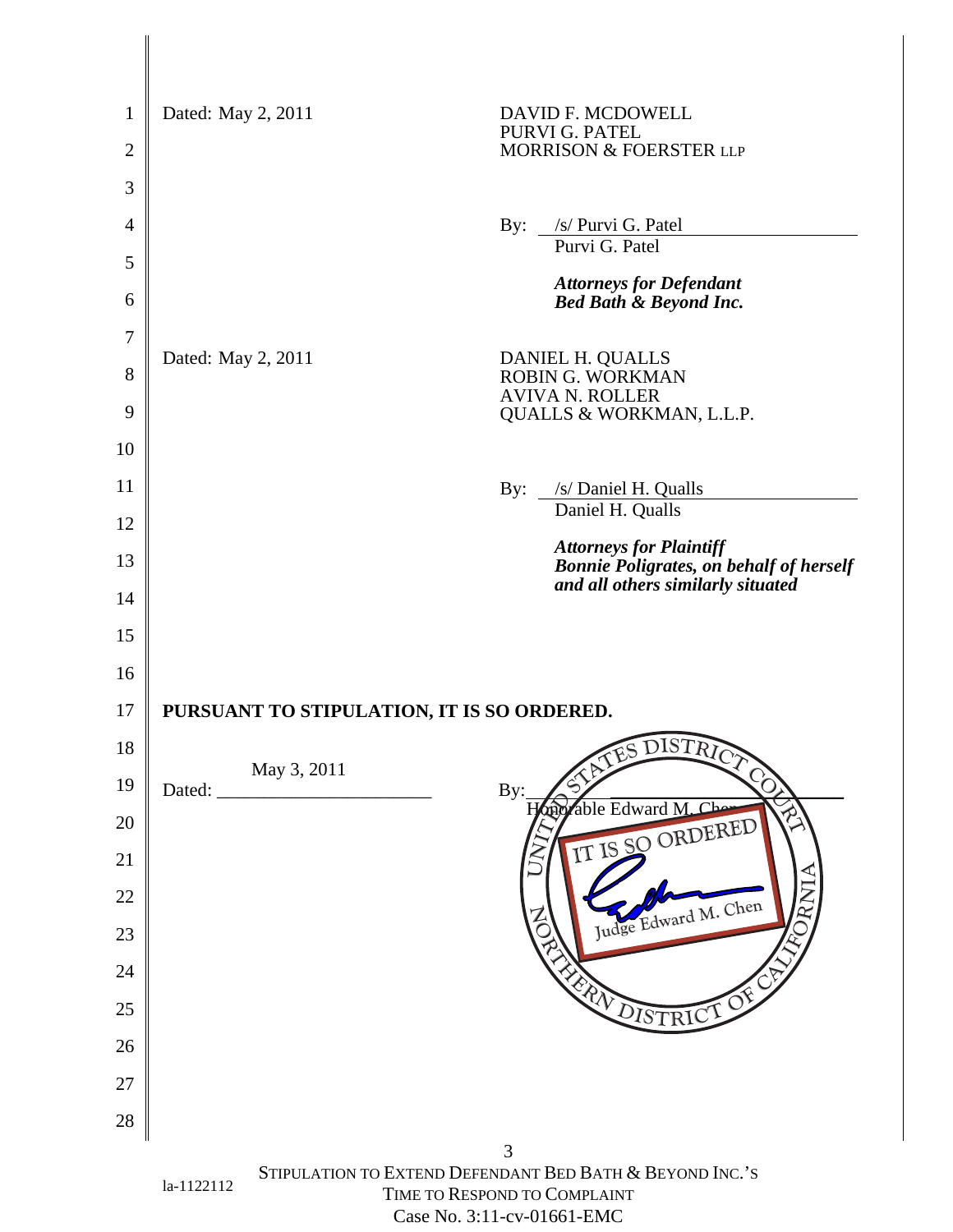|                 | Dated: May 2, 2011                              | DAVID F. MCDOWELL<br>PURVI G. PATEL<br>MORRISON & FOERSTER LLP                                          |  |  |  |
|-----------------|-------------------------------------------------|---------------------------------------------------------------------------------------------------------|--|--|--|
|                 |                                                 |                                                                                                         |  |  |  |
|                 |                                                 | By: <u>/s/ Purvi G. Patel</u>                                                                           |  |  |  |
|                 |                                                 | Purvi G. Patel                                                                                          |  |  |  |
|                 |                                                 | <b>Attorneys for Defendant<br/>Bed Bath &amp; Beyond Inc.</b>                                           |  |  |  |
|                 |                                                 |                                                                                                         |  |  |  |
| 8 <sup>1</sup>  | Dated: May 2, 2011                              | DANIEL H. QUALLS<br>ROBIN G. WORKMAN<br>AVIVA N. ROLLER<br>QUALLS & WORKMAN, L.L.P.                     |  |  |  |
|                 |                                                 |                                                                                                         |  |  |  |
| 10              |                                                 |                                                                                                         |  |  |  |
| 11              |                                                 | By: /s/ Daniel H. Qualls<br>Daniel H. Qualls                                                            |  |  |  |
| 12              |                                                 |                                                                                                         |  |  |  |
| 13              |                                                 | Attorneys for Plaintiff<br>Bonnie Poligrates, on behalf of herself<br>and all others similarly situated |  |  |  |
| 14              |                                                 |                                                                                                         |  |  |  |
| 15              |                                                 |                                                                                                         |  |  |  |
| 16              |                                                 |                                                                                                         |  |  |  |
|                 | 17   PURSUANT TO STIPULATION, IT IS SO ORDERED. |                                                                                                         |  |  |  |
| 18 <sup>1</sup> | May 3, 2011                                     | <b>DISTRE</b>                                                                                           |  |  |  |
|                 | $19$ Dated:                                     | By: Hoppable Edward M. Charles                                                                          |  |  |  |
| 20<br>21        |                                                 | TO ORDERED                                                                                              |  |  |  |
| 22              |                                                 |                                                                                                         |  |  |  |
| ∠∠              |                                                 | Jward M. Ch.                                                                                            |  |  |  |
| 23              |                                                 |                                                                                                         |  |  |  |
| 24              |                                                 |                                                                                                         |  |  |  |
| 25              |                                                 |                                                                                                         |  |  |  |
| 26              |                                                 |                                                                                                         |  |  |  |
| 27              |                                                 |                                                                                                         |  |  |  |
| 28              |                                                 |                                                                                                         |  |  |  |
|                 |                                                 | STIPULATION TO EXTEND DEFENDANT BED BATH & BEYOND INC.'S                                                |  |  |  |
|                 | la-1122112                                      | TIME TO RESPOND TO COMPLAINT<br>Case No. 3:11-cv-01661-EMC                                              |  |  |  |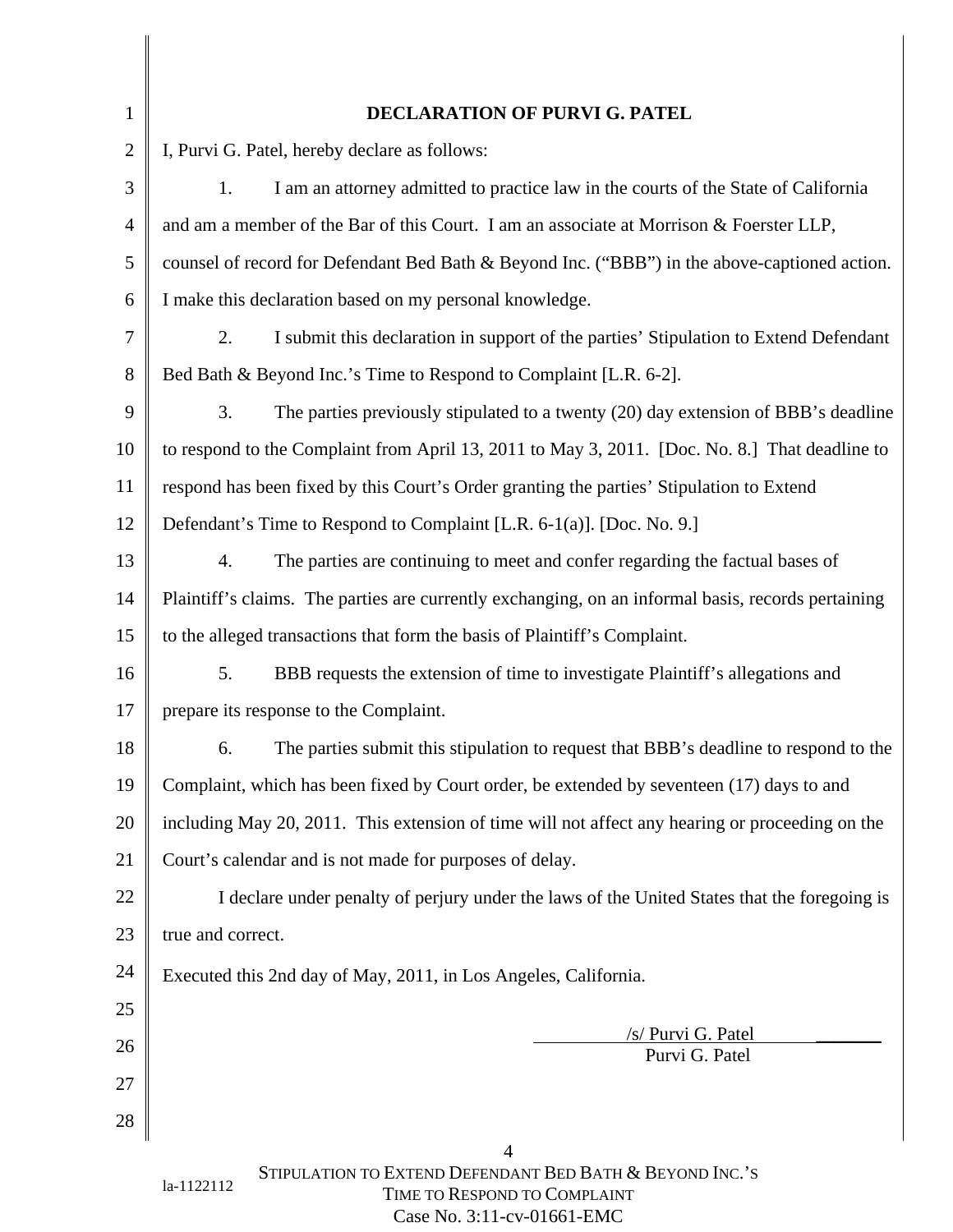|    | <b>DECLARATION OF PURVI G. PATEL</b>                                                                    |
|----|---------------------------------------------------------------------------------------------------------|
|    | I, Purvi G. Patel, hereby declare as follows:                                                           |
|    | I am an attorney admitted to practice law in the courts of the State of California                      |
|    | $\parallel$ and am a member of the Bar of this Court. I am an associate at Morrison & Foerster LLP,     |
|    | counsel of record for Defendant Bed Bath & Beyond Inc. ("BBB") in the above-captioned action.           |
|    | 6 T make this declaration based on my personal knowledge.                                               |
|    | I submit this declaration in support of the parties' Stipulation to Extend Defendant                    |
|    | 8   Bed Bath & Beyond Inc.'s Time to Respond to Complaint [L.R. 6-2].                                   |
|    | The parties previously stipulated to a twenty (20) day extension of BBB's deadline                      |
|    | 10 to respond to the Complaint from April 13, 2011 to May 3, 2011. [Doc. No. 8.] That deadline to       |
|    | 11   respond has been fixed by this Court's Order granting the parties' Stipulation to Extend           |
|    | 12   Defendant's Time to Respond to Complaint [L.R. 6-1(a)]. [Doc. No. 9.]                              |
|    | The parties are continuing to meet and confer regarding the factual bases of                            |
|    | 14   Plaintiff's claims. The parties are currently exchanging, on an informal basis, records pertaining |
| 15 | to the alleged transactions that form the basis of Plaintiff's Complaint.                               |
|    | BBB requests the extension of time to investigate Plaintiff's allegations and                           |
| 17 | prepare its response to the Complaint.                                                                  |
|    | The parties submit this stipulation to request that BBB's deadline to respond to the                    |
|    | 19 Complaint, which has been fixed by Court order, be extended by seventeen (17) days to and            |
|    | 20   including May 20, 2011. This extension of time will not affect any hearing or proceeding on the    |
|    | 21 Court's calendar and is not made for purposes of delay.                                              |
| 22 | I declare under penalty of perjury under the laws of the United States that the foregoing is            |
|    | $23$   true and correct.                                                                                |
|    | 24 Executed this 2nd day of May, 2011, in Los Angeles, California.                                      |
| 25 |                                                                                                         |
| 26 | /s/ Purvi G. Patel<br>Purvi G. Patel                                                                    |
| 27 |                                                                                                         |
| 28 |                                                                                                         |
|    |                                                                                                         |
|    | STIPULATION TO EXTEND DEFENDANT BED BATH & BEYOND INC.'S<br>la-1122112<br>TIME TO RESPOND TO COMPLAINT  |

Case No. 3:11-cv-01661-EMC